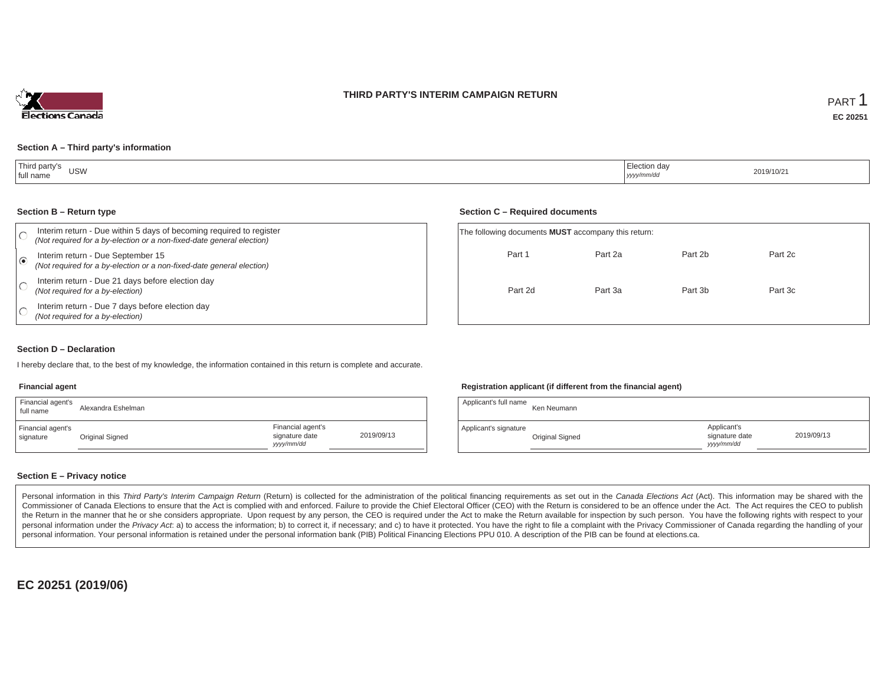### **THIRD PARTY'S INTERIM CAMPAIGN RETURN**



Part 2c

Part 3c

#### **Section A – Third party's information**

| Third party's<br><b>USW</b><br>full name<br>$ -$ | ∵⊑lection dav<br>yyyy/mm/dd | 2019/10/21 |
|--------------------------------------------------|-----------------------------|------------|
|--------------------------------------------------|-----------------------------|------------|

#### **Section B – Return type**

| Interim return - Due within 5 days of becoming required to register<br>(Not required for a by-election or a non-fixed-date general election) | The following documents <b>MUST</b> accompany this return: |         |         |  |  |  |  |
|----------------------------------------------------------------------------------------------------------------------------------------------|------------------------------------------------------------|---------|---------|--|--|--|--|
| Interim return - Due September 15<br>(Not required for a by-election or a non-fixed-date general election)                                   | Part 1                                                     | Part 2a | Part 2b |  |  |  |  |
| Interim return - Due 21 days before election day<br>(Not required for a by-election)                                                         | Part 2d                                                    | Part 3a | Part 3b |  |  |  |  |
| Interim return - Due 7 days before election day<br>(Not required for a by-election)                                                          |                                                            |         |         |  |  |  |  |

#### **Section D – Declaration**

I hereby declare that, to the best of my knowledge, the information contained in this return is complete and accurate.

#### **Financial agent**

| Financial agent's<br>full name | Alexandra Eshelman |                                                   |            | Applicant's full name | Ken Neumanr           |
|--------------------------------|--------------------|---------------------------------------------------|------------|-----------------------|-----------------------|
| Financial agent's<br>signature | Original Signed    | Financial agent's<br>signature date<br>yyyy/mm/dd | 2019/09/13 | Applicant's signature | <b>Original Signe</b> |

### **Registration applicant (if different from the financial agent)**

**Section C – Required documents**

| Alexandra Eshelman |                                                   |            | Applicant's full name | Ken Neumann     |                                             |            |
|--------------------|---------------------------------------------------|------------|-----------------------|-----------------|---------------------------------------------|------------|
| Original Signed    | Financial agent's<br>signature date<br>yyyy/mm/dd | 2019/09/13 | Applicant's signature | Original Signed | Applicant's<br>signature date<br>yyyy/mm/dd | 2019/09/13 |

### **Section E – Privacy notice**

Personal information in this Third Party's Interim Campaign Return (Return) is collected for the administration of the political financing requirements as set out in the Canada Elections Act (Act). This information may be Commissioner of Canada Elections to ensure that the Act is complied with and enforced. Failure to provide the Chief Electoral Officer (CEO) with the Return is considered to be an offence under the Act. The Act requires the the Return in the manner that he or she considers appropriate. Upon request by any person, the CEO is required under the Act to make the Return available for inspection by such person. You have the following rights with re personal information under the Privacy Act. a) to access the information; b) to correct it, if necessary; and c) to have it protected. You have the right to file a complaint with the Privacy Commissioner of Canada regardin personal information. Your personal information is retained under the personal information bank (PIB) Political Financing Elections PPU 010. A description of the PIB can be found at elections.ca.

**EC 20251 (2019/06)**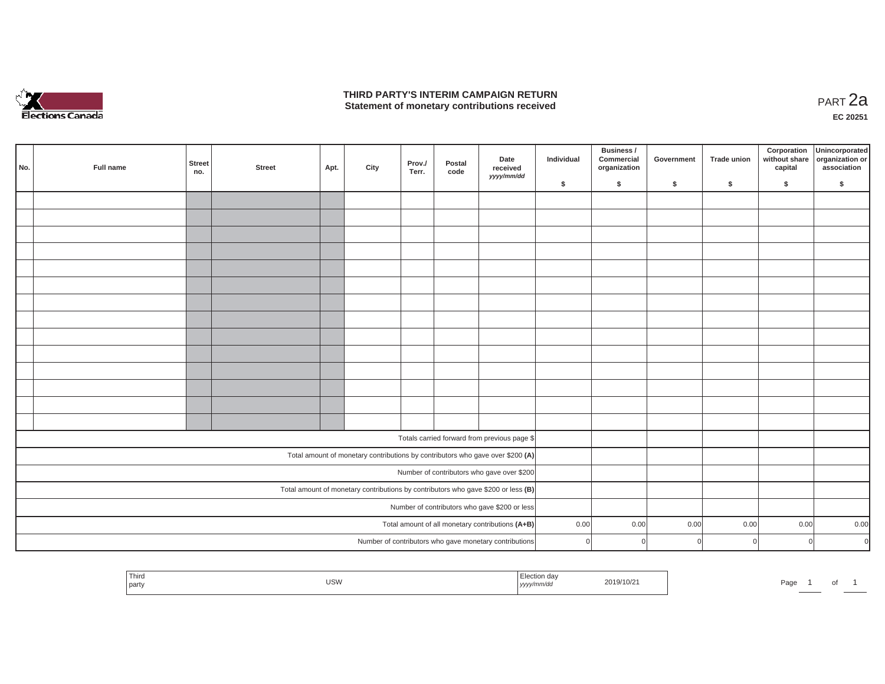

## **THIRD PARTY'S INTERIM CAMPAIGN RETURN THIRD PARTY'S INTERIM CAMPAIGN RETURN<br>Statement of monetary contributions received PART 2a**

**EC 20251**

|     |                                                  |                                                                                                                                    |                      |               |      |      |                 |                |                                                                                |            | Business /                 |            |                    | Corporation              | Unincorporated                 |
|-----|--------------------------------------------------|------------------------------------------------------------------------------------------------------------------------------------|----------------------|---------------|------|------|-----------------|----------------|--------------------------------------------------------------------------------|------------|----------------------------|------------|--------------------|--------------------------|--------------------------------|
| No. |                                                  | Full name                                                                                                                          | <b>Street</b><br>no. | <b>Street</b> | Apt. | City | Prov./<br>Terr. | Postal<br>code | Date<br>received<br>yyyy/mm/dd                                                 | Individual | Commercial<br>organization | Government | <b>Trade union</b> | without share<br>capital | organization or<br>association |
|     |                                                  |                                                                                                                                    |                      |               |      |      |                 |                |                                                                                | \$         | \$                         | \$         | \$                 | \$                       | \$                             |
|     |                                                  |                                                                                                                                    |                      |               |      |      |                 |                |                                                                                |            |                            |            |                    |                          |                                |
|     |                                                  |                                                                                                                                    |                      |               |      |      |                 |                |                                                                                |            |                            |            |                    |                          |                                |
|     |                                                  |                                                                                                                                    |                      |               |      |      |                 |                |                                                                                |            |                            |            |                    |                          |                                |
|     |                                                  |                                                                                                                                    |                      |               |      |      |                 |                |                                                                                |            |                            |            |                    |                          |                                |
|     |                                                  |                                                                                                                                    |                      |               |      |      |                 |                |                                                                                |            |                            |            |                    |                          |                                |
|     |                                                  |                                                                                                                                    |                      |               |      |      |                 |                |                                                                                |            |                            |            |                    |                          |                                |
|     |                                                  |                                                                                                                                    |                      |               |      |      |                 |                |                                                                                |            |                            |            |                    |                          |                                |
|     |                                                  |                                                                                                                                    |                      |               |      |      |                 |                |                                                                                |            |                            |            |                    |                          |                                |
|     |                                                  |                                                                                                                                    |                      |               |      |      |                 |                |                                                                                |            |                            |            |                    |                          |                                |
|     |                                                  |                                                                                                                                    |                      |               |      |      |                 |                |                                                                                |            |                            |            |                    |                          |                                |
|     |                                                  |                                                                                                                                    |                      |               |      |      |                 |                |                                                                                |            |                            |            |                    |                          |                                |
|     |                                                  |                                                                                                                                    |                      |               |      |      |                 |                |                                                                                |            |                            |            |                    |                          |                                |
|     |                                                  |                                                                                                                                    |                      |               |      |      |                 |                |                                                                                |            |                            |            |                    |                          |                                |
|     |                                                  |                                                                                                                                    |                      |               |      |      |                 |                |                                                                                |            |                            |            |                    |                          |                                |
|     |                                                  |                                                                                                                                    |                      |               |      |      |                 |                | Totals carried forward from previous page \$                                   |            |                            |            |                    |                          |                                |
|     |                                                  |                                                                                                                                    |                      |               |      |      |                 |                | Total amount of monetary contributions by contributors who gave over \$200 (A) |            |                            |            |                    |                          |                                |
|     |                                                  |                                                                                                                                    |                      |               |      |      |                 |                | Number of contributors who gave over \$200                                     |            |                            |            |                    |                          |                                |
|     |                                                  |                                                                                                                                    |                      |               |      |      |                 |                |                                                                                |            |                            |            |                    |                          |                                |
|     |                                                  | Total amount of monetary contributions by contributors who gave \$200 or less (B)<br>Number of contributors who gave \$200 or less |                      |               |      |      |                 |                |                                                                                |            |                            |            |                    |                          |                                |
|     |                                                  |                                                                                                                                    |                      |               |      |      |                 |                |                                                                                |            |                            |            |                    |                          |                                |
|     | Total amount of all monetary contributions (A+B) |                                                                                                                                    |                      |               |      |      |                 |                |                                                                                | 0.00       | 0.00                       | 0.00       | 0.00               | 0.00                     | 0.00                           |
|     |                                                  |                                                                                                                                    |                      |               |      |      |                 |                | Number of contributors who gave monetary contributions                         | $\Omega$   | $\overline{0}$             | n          | $\Omega$           |                          | $\overline{0}$<br>$\mathbf 0$  |

| Third<br>  party | <b>USW</b> | $F^{\alpha}$<br>∟iection da⊻<br>yyyy/mm/da | 2019/10/21 | Page |  |  |
|------------------|------------|--------------------------------------------|------------|------|--|--|
|                  |            |                                            |            |      |  |  |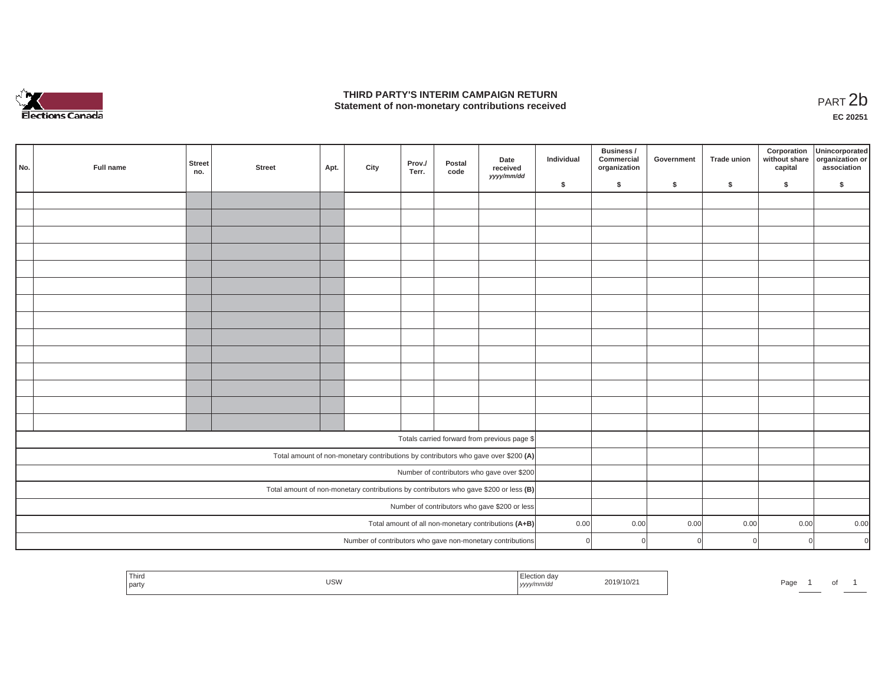

## **THIRD PARTY'S INTERIM CAMPAIGN RETURN**  THIRD PARTY'S INTERIM CAMPAIGN RETURN<br>Statement of non-monetary contributions received<br> **PART 2**b

**EC 20251**

| No.                                           | Full name                                            | <b>Street</b><br>no. | <b>Street</b> | Apt. | City | Prov./<br>Terr. | Postal<br>code | Date<br>received<br>yyyy/mm/dd                                                          | Individual | Business /<br>Commercial<br>organization | Government | <b>Trade union</b> | Corporation<br>without share<br>capital | Unincorporated<br>organization or<br>association |
|-----------------------------------------------|------------------------------------------------------|----------------------|---------------|------|------|-----------------|----------------|-----------------------------------------------------------------------------------------|------------|------------------------------------------|------------|--------------------|-----------------------------------------|--------------------------------------------------|
|                                               |                                                      |                      |               |      |      |                 |                |                                                                                         | \$         | \$                                       | \$         | -S                 | \$                                      | S.                                               |
|                                               |                                                      |                      |               |      |      |                 |                |                                                                                         |            |                                          |            |                    |                                         |                                                  |
|                                               |                                                      |                      |               |      |      |                 |                |                                                                                         |            |                                          |            |                    |                                         |                                                  |
|                                               |                                                      |                      |               |      |      |                 |                |                                                                                         |            |                                          |            |                    |                                         |                                                  |
|                                               |                                                      |                      |               |      |      |                 |                |                                                                                         |            |                                          |            |                    |                                         |                                                  |
|                                               |                                                      |                      |               |      |      |                 |                |                                                                                         |            |                                          |            |                    |                                         |                                                  |
|                                               |                                                      |                      |               |      |      |                 |                |                                                                                         |            |                                          |            |                    |                                         |                                                  |
|                                               |                                                      |                      |               |      |      |                 |                |                                                                                         |            |                                          |            |                    |                                         |                                                  |
|                                               |                                                      |                      |               |      |      |                 |                |                                                                                         |            |                                          |            |                    |                                         |                                                  |
|                                               |                                                      |                      |               |      |      |                 |                |                                                                                         |            |                                          |            |                    |                                         |                                                  |
|                                               |                                                      |                      |               |      |      |                 |                |                                                                                         |            |                                          |            |                    |                                         |                                                  |
|                                               |                                                      |                      |               |      |      |                 |                |                                                                                         |            |                                          |            |                    |                                         |                                                  |
|                                               |                                                      |                      |               |      |      |                 |                |                                                                                         |            |                                          |            |                    |                                         |                                                  |
|                                               |                                                      |                      |               |      |      |                 |                |                                                                                         |            |                                          |            |                    |                                         |                                                  |
|                                               |                                                      |                      |               |      |      |                 |                |                                                                                         |            |                                          |            |                    |                                         |                                                  |
|                                               |                                                      |                      |               |      |      |                 |                | Totals carried forward from previous page \$                                            |            |                                          |            |                    |                                         |                                                  |
|                                               |                                                      |                      |               |      |      |                 |                | Total amount of non-monetary contributions by contributors who gave over \$200 (A)      |            |                                          |            |                    |                                         |                                                  |
|                                               |                                                      |                      |               |      |      |                 |                | Number of contributors who gave over \$200                                              |            |                                          |            |                    |                                         |                                                  |
|                                               |                                                      |                      |               |      |      |                 |                | Total amount of non-monetary contributions by contributors who gave \$200 or less $(B)$ |            |                                          |            |                    |                                         |                                                  |
| Number of contributors who gave \$200 or less |                                                      |                      |               |      |      |                 |                |                                                                                         |            |                                          |            |                    |                                         |                                                  |
|                                               | Total amount of all non-monetary contributions (A+B) |                      |               |      |      |                 |                |                                                                                         | 0.00       | 0.00                                     | 0.00       | 0.00               | 0.00                                    | 0.00                                             |
|                                               |                                                      |                      |               |      |      |                 |                | Number of contributors who gave non-monetary contributions                              | U          | $\Omega$                                 |            |                    | $\Omega$                                | $\Omega$                                         |

| Third<br>ection da<br>2019/10/21<br><b>USW</b><br>$\cdots$<br>  part<br>yyyy/mm/dd | Page |  |  |  |
|------------------------------------------------------------------------------------|------|--|--|--|
|------------------------------------------------------------------------------------|------|--|--|--|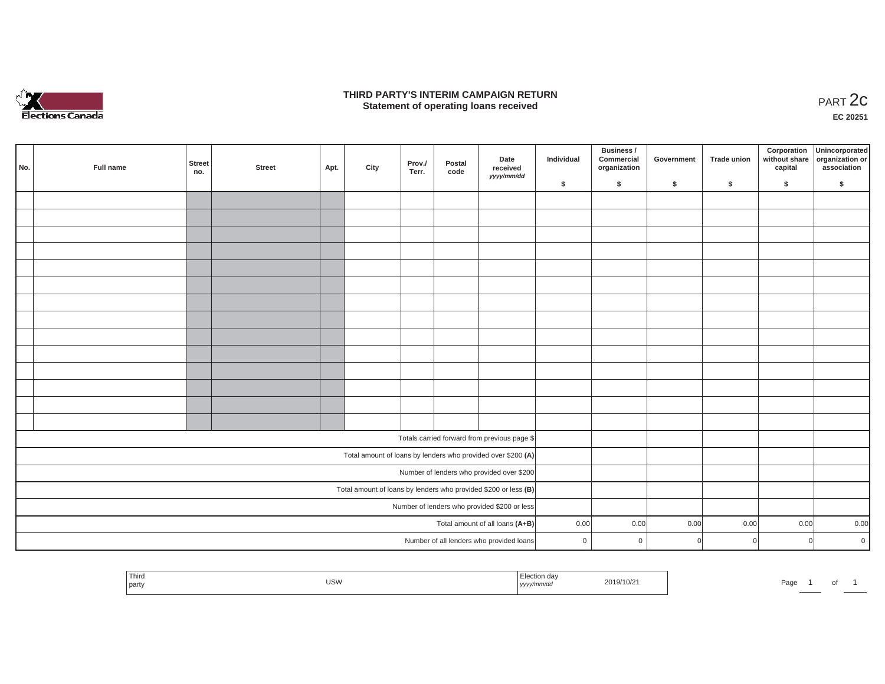

### **THIRD PARTY'S INTERIM CAMPAIGN RETURN**  RD PARTY'S INTERIM CAMPAIGN RETURN<br>Statement of operating loans received **PART 2c**

**EC 20251**

| No. | Full name                       | Street<br>no. | Street | Apt. | City | Prov./<br>Terr. | Postal<br>code | Date<br>received<br>yyyy/mm/dd                                  | Individual     | Business /<br>Commercial<br>organization | Government | Trade union | Corporation<br>without share<br>capital | Unincorporated<br>organization or<br>association |
|-----|---------------------------------|---------------|--------|------|------|-----------------|----------------|-----------------------------------------------------------------|----------------|------------------------------------------|------------|-------------|-----------------------------------------|--------------------------------------------------|
|     |                                 |               |        |      |      |                 |                |                                                                 | \$             | $\sqrt{2}$                               | \$         | $\sqrt{2}$  | \$                                      | \$                                               |
|     |                                 |               |        |      |      |                 |                |                                                                 |                |                                          |            |             |                                         |                                                  |
|     |                                 |               |        |      |      |                 |                |                                                                 |                |                                          |            |             |                                         |                                                  |
|     |                                 |               |        |      |      |                 |                |                                                                 |                |                                          |            |             |                                         |                                                  |
|     |                                 |               |        |      |      |                 |                |                                                                 |                |                                          |            |             |                                         |                                                  |
|     |                                 |               |        |      |      |                 |                |                                                                 |                |                                          |            |             |                                         |                                                  |
|     |                                 |               |        |      |      |                 |                |                                                                 |                |                                          |            |             |                                         |                                                  |
|     |                                 |               |        |      |      |                 |                |                                                                 |                |                                          |            |             |                                         |                                                  |
|     |                                 |               |        |      |      |                 |                |                                                                 |                |                                          |            |             |                                         |                                                  |
|     |                                 |               |        |      |      |                 |                |                                                                 |                |                                          |            |             |                                         |                                                  |
|     |                                 |               |        |      |      |                 |                |                                                                 |                |                                          |            |             |                                         |                                                  |
|     |                                 |               |        |      |      |                 |                |                                                                 |                |                                          |            |             |                                         |                                                  |
|     |                                 |               |        |      |      |                 |                |                                                                 |                |                                          |            |             |                                         |                                                  |
|     |                                 |               |        |      |      |                 |                |                                                                 |                |                                          |            |             |                                         |                                                  |
|     |                                 |               |        |      |      |                 |                |                                                                 |                |                                          |            |             |                                         |                                                  |
|     |                                 |               |        |      |      |                 |                |                                                                 |                |                                          |            |             |                                         |                                                  |
|     |                                 |               |        |      |      |                 |                | Totals carried forward from previous page \$                    |                |                                          |            |             |                                         |                                                  |
|     |                                 |               |        |      |      |                 |                | Total amount of loans by lenders who provided over \$200 (A)    |                |                                          |            |             |                                         |                                                  |
|     |                                 |               |        |      |      |                 |                | Number of lenders who provided over \$200                       |                |                                          |            |             |                                         |                                                  |
|     |                                 |               |        |      |      |                 |                | Total amount of loans by lenders who provided \$200 or less (B) |                |                                          |            |             |                                         |                                                  |
|     |                                 |               |        |      |      |                 |                | Number of lenders who provided \$200 or less                    |                |                                          |            |             |                                         |                                                  |
|     | Total amount of all loans (A+B) |               |        |      |      |                 |                |                                                                 | 0.00           | 0.00                                     | 0.00       | 0.00        | 0.00                                    | 0.00                                             |
|     |                                 |               |        |      |      |                 |                | Number of all lenders who provided loans                        | $\overline{0}$ | $\mathbf{0}$                             |            | $\cap$      | $\overline{0}$                          | $\overline{0}$                                   |
|     |                                 |               |        |      |      |                 |                |                                                                 |                |                                          |            |             |                                         |                                                  |

| Thira          |     |       |                      |      |  |
|----------------|-----|-------|----------------------|------|--|
| <i>i</i> party | USW | ,,,,, | <sup>1</sup> 19/10/∠ | Page |  |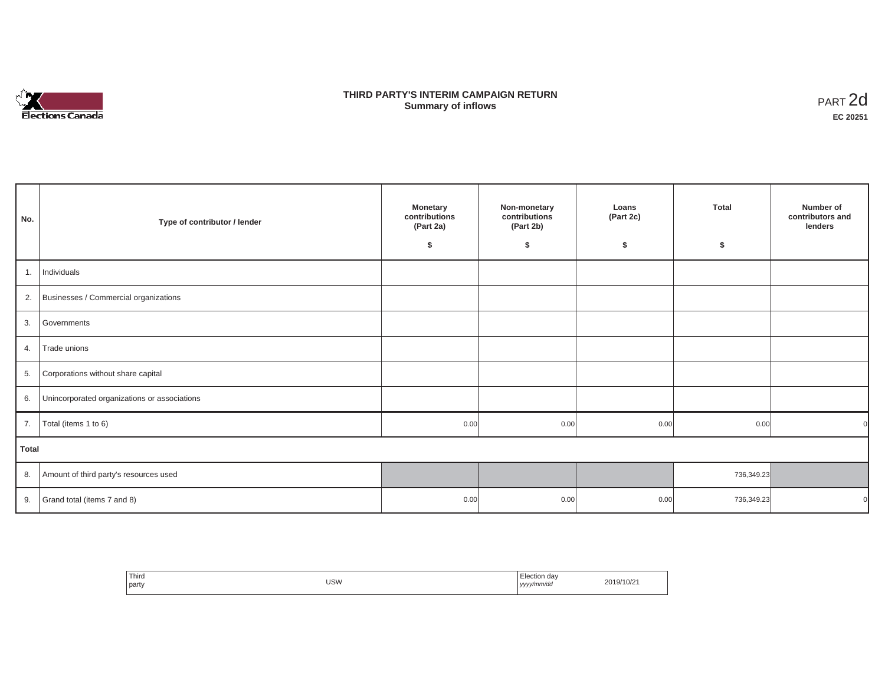

## **THIRD PARTY'S INTERIM CAMPAIGN RETURN SUMMARY STATE SUMMARY OF A SUMMARY OF A SUMMARY OF A SUMMARY OF A SUMMARY OF A SUMMARY OF A SUMMARY OF A SUMMA**<br> **Summary of inflows**

| No.   | Type of contributor / lender                    | <b>Monetary</b><br>contributions<br>(Part 2a)<br>\$ | Non-monetary<br>contributions<br>(Part 2b)<br>\$ | Loans<br>(Part 2c)<br>\$ | <b>Total</b><br>\$ | Number of<br>contributors and<br>lenders |
|-------|-------------------------------------------------|-----------------------------------------------------|--------------------------------------------------|--------------------------|--------------------|------------------------------------------|
| 1.    | Individuals                                     |                                                     |                                                  |                          |                    |                                          |
|       | 2. Businesses / Commercial organizations        |                                                     |                                                  |                          |                    |                                          |
|       | 3. Governments                                  |                                                     |                                                  |                          |                    |                                          |
| 4.    | Trade unions                                    |                                                     |                                                  |                          |                    |                                          |
| 5.    | Corporations without share capital              |                                                     |                                                  |                          |                    |                                          |
|       | 6. Unincorporated organizations or associations |                                                     |                                                  |                          |                    |                                          |
| 7.    | Total (items 1 to 6)                            | 0.00                                                | 0.00                                             | 0.00                     | 0.00               |                                          |
| Total |                                                 |                                                     |                                                  |                          |                    |                                          |
|       | 8. Amount of third party's resources used       |                                                     |                                                  |                          | 736,349.23         |                                          |
|       | 9. Grand total (items $7$ and $8$ )             | 0.00                                                | 0.00                                             | 0.00                     | 736,349.23         |                                          |

| ' Third<br>party | USW | ı dav<br>Election<br>yyyy/mm/da<br>,,,, | 19/10/2<br>201 |
|------------------|-----|-----------------------------------------|----------------|
|                  |     |                                         |                |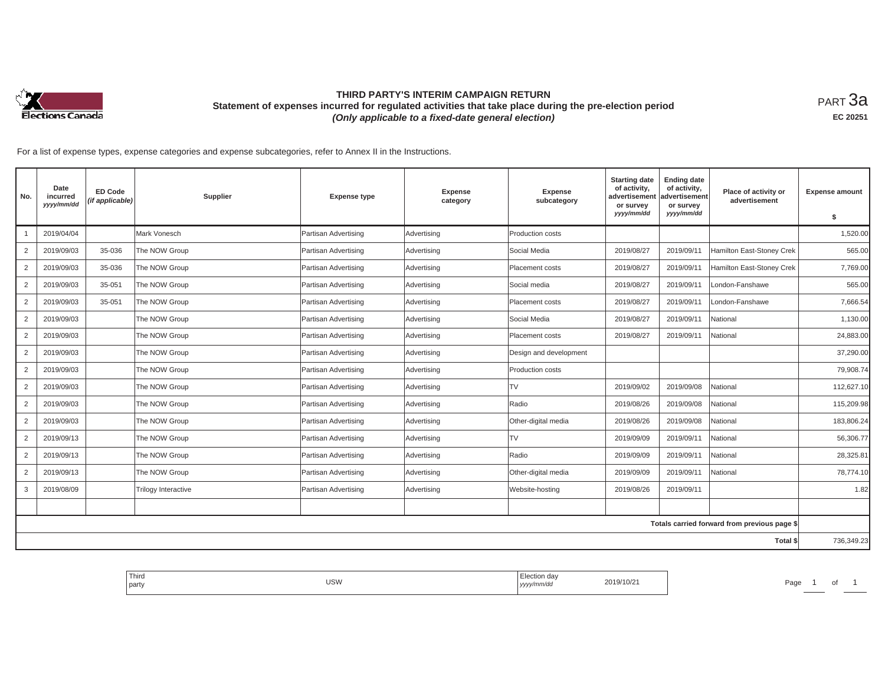

## **THIRD PARTY'S INTERIM CAMPAIGN RETURN Statement of expenses incurred for regulated activities that take place during the pre-election period**  *(Only applicable to a fixed-date general election)*

<code>PART $3$ a</code> **EC 20251**

For a list of expense types, expense categories and expense subcategories, refer to Annex II in the Instructions.

| No.            | Date<br>incurred<br>yyyy/mm/dd | <b>ED Code</b><br>(if applicable) | Supplier            | <b>Expense type</b>  | <b>Expense</b><br>category | <b>Expense</b><br>subcategory | <b>Starting date</b><br>of activity,<br>advertisement<br>or survey<br>yyyy/mm/dd | <b>Ending date</b><br>of activity,<br>advertisement<br>or survey<br>yyyy/mm/dd | Place of activity or<br>advertisement        | <b>Expense amount</b><br>\$ |
|----------------|--------------------------------|-----------------------------------|---------------------|----------------------|----------------------------|-------------------------------|----------------------------------------------------------------------------------|--------------------------------------------------------------------------------|----------------------------------------------|-----------------------------|
|                | 2019/04/04                     |                                   | Mark Vonesch        | Partisan Advertising | Advertising                | Production costs              |                                                                                  |                                                                                |                                              | 1,520.00                    |
| $\overline{2}$ | 2019/09/03                     | 35-036                            | The NOW Group       | Partisan Advertising | Advertising                | Social Media                  | 2019/08/27                                                                       | 2019/09/11                                                                     | Hamilton East-Stoney Crek                    | 565.00                      |
| $\overline{2}$ | 2019/09/03                     | 35-036                            | The NOW Group       | Partisan Advertising | Advertising                | Placement costs               | 2019/08/27                                                                       | 2019/09/11                                                                     | Hamilton East-Stoney Crek                    | 7,769.00                    |
| $\overline{2}$ | 2019/09/03                     | 35-051                            | The NOW Group       | Partisan Advertising | Advertising                | Social media                  | 2019/08/27                                                                       | 2019/09/11                                                                     | London-Fanshawe                              | 565.00                      |
| $\overline{2}$ | 2019/09/03                     | 35-051                            | The NOW Group       | Partisan Advertising | Advertising                | Placement costs               | 2019/08/27                                                                       | 2019/09/11                                                                     | London-Fanshawe                              | 7,666.54                    |
| $\overline{2}$ | 2019/09/03                     |                                   | The NOW Group       | Partisan Advertising | Advertising                | Social Media                  | 2019/08/27                                                                       | 2019/09/11                                                                     | National                                     | 1,130.00                    |
| $\overline{2}$ | 2019/09/03                     |                                   | The NOW Group       | Partisan Advertising | Advertising                | Placement costs               | 2019/08/27                                                                       | 2019/09/11                                                                     | National                                     | 24,883.00                   |
| $\overline{2}$ | 2019/09/03                     |                                   | The NOW Group       | Partisan Advertising | Advertising                | Design and development        |                                                                                  |                                                                                |                                              | 37,290.00                   |
| $\overline{2}$ | 2019/09/03                     |                                   | The NOW Group       | Partisan Advertising | Advertising                | Production costs              |                                                                                  |                                                                                |                                              | 79,908.74                   |
| $\overline{2}$ | 2019/09/03                     |                                   | The NOW Group       | Partisan Advertising | Advertising                | TV                            | 2019/09/02                                                                       | 2019/09/08                                                                     | National                                     | 112,627.10                  |
| $\overline{2}$ | 2019/09/03                     |                                   | The NOW Group       | Partisan Advertising | Advertising                | Radio                         | 2019/08/26                                                                       | 2019/09/08                                                                     | National                                     | 115,209.98                  |
| $\overline{2}$ | 2019/09/03                     |                                   | The NOW Group       | Partisan Advertising | Advertising                | Other-digital media           | 2019/08/26                                                                       | 2019/09/08                                                                     | National                                     | 183,806.24                  |
| $\overline{2}$ | 2019/09/13                     |                                   | The NOW Group       | Partisan Advertising | Advertising                | TV                            | 2019/09/09                                                                       | 2019/09/11                                                                     | National                                     | 56,306.77                   |
| $\overline{2}$ | 2019/09/13                     |                                   | The NOW Group       | Partisan Advertising | Advertising                | Radio                         | 2019/09/09                                                                       | 2019/09/11                                                                     | National                                     | 28,325.81                   |
| $\overline{2}$ | 2019/09/13                     |                                   | The NOW Group       | Partisan Advertising | Advertising                | Other-digital media           | 2019/09/09                                                                       | 2019/09/11                                                                     | National                                     | 78,774.10                   |
| 3              | 2019/08/09                     |                                   | Trilogy Interactive | Partisan Advertising | Advertising                | Website-hosting               | 2019/08/26                                                                       | 2019/09/11                                                                     |                                              | 1.82                        |
|                |                                |                                   |                     |                      |                            |                               |                                                                                  |                                                                                |                                              |                             |
|                |                                |                                   |                     |                      |                            |                               |                                                                                  |                                                                                | Totals carried forward from previous page \$ |                             |
|                |                                |                                   |                     |                      |                            |                               |                                                                                  |                                                                                | Total \$                                     | 736,349.23                  |

| Third<br>…Juu∩ dav<br><b>USW</b><br>2019/10/21<br>.<br>party<br>  yyyy/mm/aa<br>___ | Page |
|-------------------------------------------------------------------------------------|------|
|-------------------------------------------------------------------------------------|------|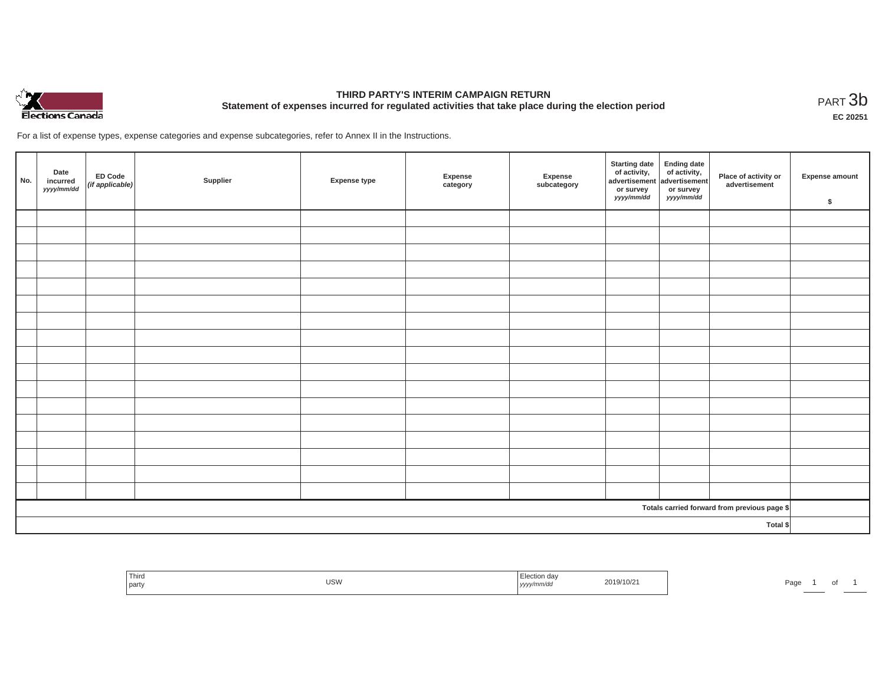

# **THIRD PARTY'S INTERIM CAMPAIGN RETURN Statement of expenses incurred for regulated activities that take place during the election period**<br>PART  $3b$

**EC 20251**

For a list of expense types, expense categories and expense subcategories, refer to Annex II in the Instructions.

| No.      | Date<br>incurred<br>yyyy/mm/dd | ED Code<br>(if applicable) | Supplier | <b>Expense type</b> | Expense<br>category | Expense<br>subcategory | Starting date<br>of activity,<br>advertisement<br>or survey<br>yyyy/mm/dd | Ending date<br>of activity,<br>advertisement<br>or survey<br>yyyy/mm/dd | Place of activity or<br>advertisement        | Expense amount<br>\$ |
|----------|--------------------------------|----------------------------|----------|---------------------|---------------------|------------------------|---------------------------------------------------------------------------|-------------------------------------------------------------------------|----------------------------------------------|----------------------|
|          |                                |                            |          |                     |                     |                        |                                                                           |                                                                         |                                              |                      |
|          |                                |                            |          |                     |                     |                        |                                                                           |                                                                         |                                              |                      |
|          |                                |                            |          |                     |                     |                        |                                                                           |                                                                         |                                              |                      |
|          |                                |                            |          |                     |                     |                        |                                                                           |                                                                         |                                              |                      |
|          |                                |                            |          |                     |                     |                        |                                                                           |                                                                         |                                              |                      |
|          |                                |                            |          |                     |                     |                        |                                                                           |                                                                         |                                              |                      |
|          |                                |                            |          |                     |                     |                        |                                                                           |                                                                         |                                              |                      |
|          |                                |                            |          |                     |                     |                        |                                                                           |                                                                         |                                              |                      |
|          |                                |                            |          |                     |                     |                        |                                                                           |                                                                         |                                              |                      |
|          |                                |                            |          |                     |                     |                        |                                                                           |                                                                         |                                              |                      |
|          |                                |                            |          |                     |                     |                        |                                                                           |                                                                         |                                              |                      |
|          |                                |                            |          |                     |                     |                        |                                                                           |                                                                         |                                              |                      |
|          |                                |                            |          |                     |                     |                        |                                                                           |                                                                         |                                              |                      |
|          |                                |                            |          |                     |                     |                        |                                                                           |                                                                         |                                              |                      |
|          |                                |                            |          |                     |                     |                        |                                                                           |                                                                         |                                              |                      |
|          |                                |                            |          |                     |                     |                        |                                                                           |                                                                         |                                              |                      |
|          |                                |                            |          |                     |                     |                        |                                                                           |                                                                         |                                              |                      |
|          |                                |                            |          |                     |                     |                        |                                                                           |                                                                         | Totals carried forward from previous page \$ |                      |
| Total \$ |                                |                            |          |                     |                     |                        |                                                                           |                                                                         |                                              |                      |

| Third<br>party | USW | Election day<br>yyyy/mm/dd | 2019/10/21 | Page |  |
|----------------|-----|----------------------------|------------|------|--|
|                |     |                            |            |      |  |